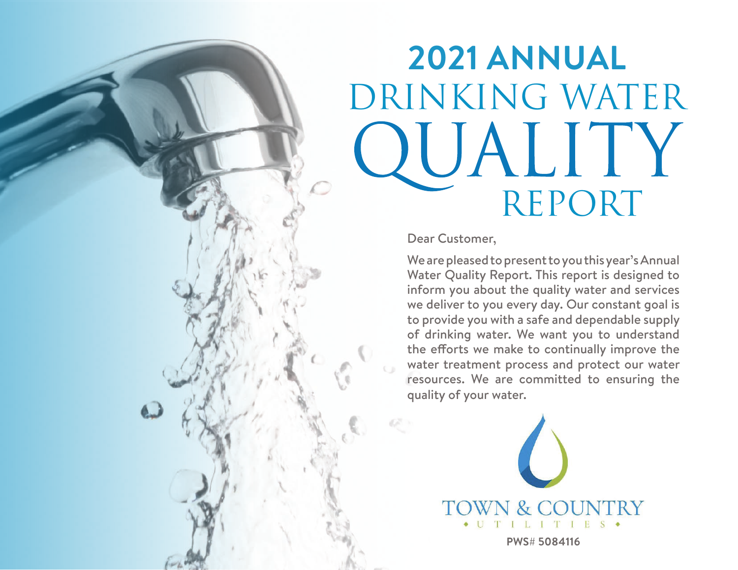# **2021 ANNUAL** DRINKING WATER QUALITY Report

Dear Customer,

We are pleased to present to you this year's Annual Water Quality Report. This report is designed to inform you about the quality water and services we deliver to you every day. Our constant goal is to provide you with a safe and dependable supply of drinking water. We want you to understand the efforts we make to continually improve the water treatment process and protect our water resources. We are committed to ensuring the quality of your water.



**PWS# 5084116**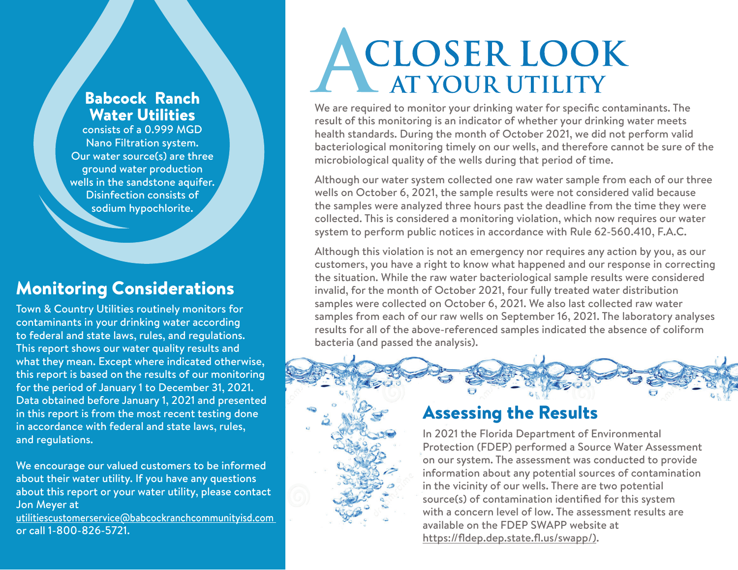#### Babcock Ranch Water Utilities

consists of a 0.999 MGD Nano Filtration system. Our water source(s) are three ground water production wells in the sandstone aquifer. Disinfection consists of sodium hypochlorite.

## Monitoring Considerations

Town & Country Utilities routinely monitors for contaminants in your drinking water according to federal and state laws, rules, and regulations. This report shows our water quality results and what they mean. Except where indicated otherwise, this report is based on the results of our monitoring for the period of January 1 to December 31, 2021. Data obtained before January 1, 2021 and presented in this report is from the most recent testing done in accordance with federal and state laws, rules, and regulations.

We encourage our valued customers to be informed about their water utility. If you have any questions about this report or your water utility, please contact Jon Meyer at

utilitiescustomerservice@babcockranchcommunityisd.com or call 1-800-826-5721.

# ACLOSER LOOK<br>AT YOUR UTILITY

We are required to monitor your drinking water for specific contaminants. The result of this monitoring is an indicator of whether your drinking water meets health standards. During the month of October 2021, we did not perform valid bacteriological monitoring timely on our wells, and therefore cannot be sure of the microbiological quality of the wells during that period of time.

Although our water system collected one raw water sample from each of our three wells on October 6, 2021, the sample results were not considered valid because the samples were analyzed three hours past the deadline from the time they were collected. This is considered a monitoring violation, which now requires our water system to perform public notices in accordance with Rule 62-560.410, F.A.C.

Although this violation is not an emergency nor requires any action by you, as our customers, you have a right to know what happened and our response in correcting the situation. While the raw water bacteriological sample results were considered invalid, for the month of October 2021, four fully treated water distribution samples were collected on October 6, 2021. We also last collected raw water samples from each of our raw wells on September 16, 2021. The laboratory analyses results for all of the above-referenced samples indicated the absence of coliform bacteria (and passed the analysis).



## Assessing the Results

In 2021 the Florida Department of Environmental Protection (FDEP) performed a Source Water Assessment on our system. The assessment was conducted to provide information about any potential sources of contamination in the vicinity of our wells. There are two potential source(s) of contamination identified for this system with a concern level of low. The assessment results are available on the FDEP SWAPP website at https://fldep.dep.state.fl.us/swapp/).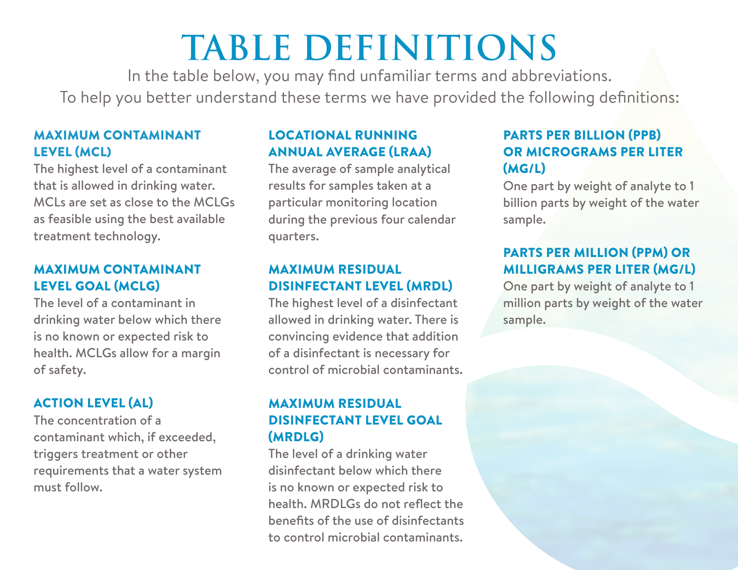# **TABLE DEFINITIONS**

In the table below, you may find unfamiliar terms and abbreviations. To help you better understand these terms we have provided the following definitions:

#### MAXIMUM CONTAMINANT LEVEL (MCL)

The highest level of a contaminant that is allowed in drinking water. MCLs are set as close to the MCLGs as feasible using the best available treatment technology.

#### MAXIMUM CONTAMINANT LEVEL GOAL (MCLG)

The level of a contaminant in drinking water below which there is no known or expected risk to health. MCLGs allow for a margin of safety.

#### ACTION LEVEL (AL)

The concentration of a contaminant which, if exceeded, triggers treatment or other requirements that a water system must follow.

#### LOCATIONAL RUNNING ANNUAL AVERAGE (LRAA)

The average of sample analytical results for samples taken at a particular monitoring location during the previous four calendar quarters.

#### MAXIMUM RESIDUAL DISINFECTANT LEVEL (MRDL)

The highest level of a disinfectant allowed in drinking water. There is convincing evidence that addition of a disinfectant is necessary for control of microbial contaminants.

#### MAXIMUM RESIDUAL DISINFECTANT LEVEL GOAL (MRDLG)

The level of a drinking water disinfectant below which there is no known or expected risk to health. MRDLGs do not reflect the benefits of the use of disinfectants to control microbial contaminants.

#### PARTS PER BILLION (PPB) OR MICROGRAMS PER LITER (MG/L)

One part by weight of analyte to 1 billion parts by weight of the water sample.

#### PARTS PER MILLION (PPM) OR MILLIGRAMS PER LITER (MG/L)

One part by weight of analyte to 1 million parts by weight of the water sample.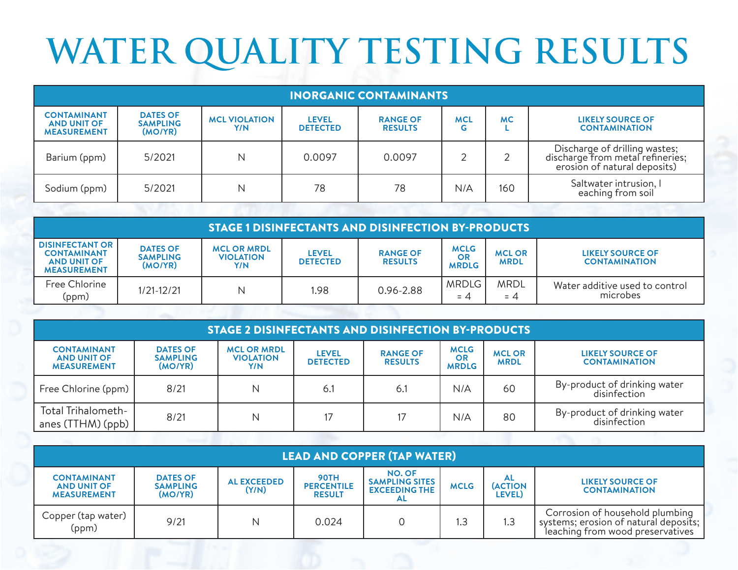# **WATER QUALITY TESTING RESULTS**

| <b>INORGANIC CONTAMINANTS</b>                                  |                                               |                             |                                 |                                   |                 |           |                                                                                                   |  |
|----------------------------------------------------------------|-----------------------------------------------|-----------------------------|---------------------------------|-----------------------------------|-----------------|-----------|---------------------------------------------------------------------------------------------------|--|
| <b>CONTAMINANT</b><br><b>AND UNIT OF</b><br><b>MEASUREMENT</b> | <b>DATES OF</b><br><b>SAMPLING</b><br>(MO/YR) | <b>MCL VIOLATION</b><br>Y/N | <b>LEVEL</b><br><b>DETECTED</b> | <b>RANGE OF</b><br><b>RESULTS</b> | <b>MCL</b><br>G | <b>MC</b> | <b>LIKELY SOURCE OF</b><br><b>CONTAMINATION</b>                                                   |  |
| Barium (ppm)                                                   | 5/2021                                        | Ν                           | 0.0097                          | 0.0097                            |                 |           | Discharge of drilling wastes;<br>discharge from metal refineries;<br>erosion of natural deposits) |  |
| Sodium (ppm)                                                   | 5/2021                                        | Ν                           | 78                              | 78                                | N/A             | 160       | Saltwater intrusion, I<br>eaching from soil                                                       |  |

| <b>STAGE 1 DISINFECTANTS AND DISINFECTION BY-PRODUCTS</b>                                |                                               |                                               |                                 |                                   |                                   |                              |                                            |  |
|------------------------------------------------------------------------------------------|-----------------------------------------------|-----------------------------------------------|---------------------------------|-----------------------------------|-----------------------------------|------------------------------|--------------------------------------------|--|
| <b>DISINFECTANT OR</b><br><b>CONTAMINANT</b><br><b>AND UNIT OF</b><br><b>MEASUREMENT</b> | <b>DATES OF</b><br><b>SAMPLING</b><br>(MO/YR) | <b>MCL OR MRDL</b><br><b>VIOLATION</b><br>Y/N | <b>LEVEL</b><br><b>DETECTED</b> | <b>RANGE OF</b><br><b>RESULTS</b> | <b>MCLG</b><br>OR<br><b>MRDLG</b> | <b>MCL OR</b><br><b>MRDL</b> | LIKELY SOURCE OF<br><b>CONTAMINATION</b>   |  |
| Free Chlorine<br>(ppm)                                                                   | $1/21 - 12/21$                                | N                                             | 1.98                            | 0.96-2.88                         | <b>MRDLG</b><br>$= 4$             | <b>MRDL</b><br>$= 4$         | Water additive used to control<br>microbes |  |

| <b>STAGE 2 DISINFECTANTS AND DISINFECTION BY-PRODUCTS</b>      |                                               |                                               |                                 |                                   |                                   |                             |                                              |  |
|----------------------------------------------------------------|-----------------------------------------------|-----------------------------------------------|---------------------------------|-----------------------------------|-----------------------------------|-----------------------------|----------------------------------------------|--|
| <b>CONTAMINANT</b><br><b>AND UNIT OF</b><br><b>MEASUREMENT</b> | <b>DATES OF</b><br><b>SAMPLING</b><br>(MO/YR) | <b>MCL OR MRDL</b><br><b>VIOLATION</b><br>Y/N | <b>LEVEL</b><br><b>DETECTED</b> | <b>RANGE OF</b><br><b>RESULTS</b> | <b>MCLG</b><br>OR<br><b>MRDLG</b> | <b>MCLOR</b><br><b>MRDL</b> | LIKELY SOURCE OF<br><b>CONTAMINATION</b>     |  |
| Free Chlorine (ppm)                                            | 8/21                                          | N                                             | 6.1                             | 6.1                               | N/A                               | 60                          | By-product of drinking water<br>disinfection |  |
| Total Trihalometh-<br>anes $(TTHM)$ (ppb)                      | 8/21                                          | N                                             |                                 |                                   | N/A                               | 80                          | By-product of drinking water<br>disinfection |  |

| <b>LEAD AND COPPER (TAP WATER)</b>                             |                                               |                             |                                                   |                                                                      |             |                                        |                                                                                                              |  |
|----------------------------------------------------------------|-----------------------------------------------|-----------------------------|---------------------------------------------------|----------------------------------------------------------------------|-------------|----------------------------------------|--------------------------------------------------------------------------------------------------------------|--|
| <b>CONTAMINANT</b><br><b>AND UNIT OF</b><br><b>MEASUREMENT</b> | <b>DATES OF</b><br><b>SAMPLING</b><br>(MO/YR) | <b>AL EXCEEDED</b><br>(Y/N) | <b>90TH</b><br><b>PERCENTILE</b><br><b>RESULT</b> | <b>NO. OF</b><br><b>SAMPLING SITES</b><br><b>EXCEEDING THE</b><br>AL | <b>MCLG</b> | AL.<br><b>(ACTION</b><br><b>LEVEL)</b> | <b>LIKELY SOURCE OF</b><br><b>CONTAMINATION</b>                                                              |  |
| Copper (tap water)<br>(ppm)                                    | 9/21                                          |                             | 0.024                                             |                                                                      | І.З         | 1.3                                    | Corrosion of household plumbing<br>systems; erosion of natural deposits;<br>leaching from wood preservatives |  |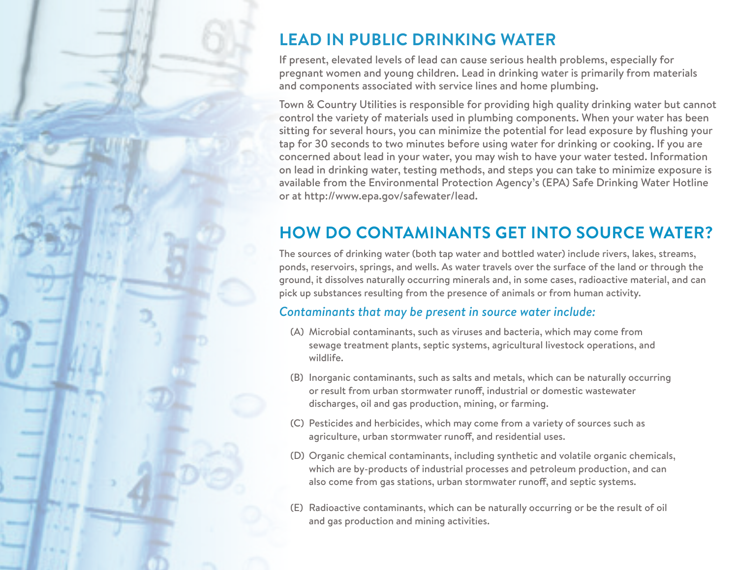

# **LEAD IN PUBLIC DRINKING WATER**

If present, elevated levels of lead can cause serious health problems, especially for pregnant women and young children. Lead in drinking water is primarily from materials and components associated with service lines and home plumbing.

Town & Country Utilities is responsible for providing high quality drinking water but cannot control the variety of materials used in plumbing components. When your water has been sitting for several hours, you can minimize the potential for lead exposure by flushing your tap for 30 seconds to two minutes before using water for drinking or cooking. If you are concerned about lead in your water, you may wish to have your water tested. Information on lead in drinking water, testing methods, and steps you can take to minimize exposure is available from the Environmental Protection Agency's (EPA) Safe Drinking Water Hotline or at http://www.epa.gov/safewater/lead.

## **HOW DO CONTAMINANTS GET INTO SOURCE WATER?**

The sources of drinking water (both tap water and bottled water) include rivers, lakes, streams, ponds, reservoirs, springs, and wells. As water travels over the surface of the land or through the ground, it dissolves naturally occurring minerals and, in some cases, radioactive material, and can pick up substances resulting from the presence of animals or from human activity.

#### *Contaminants that may be present in source water include:*

- (A) Microbial contaminants, such as viruses and bacteria, which may come from sewage treatment plants, septic systems, agricultural livestock operations, and wildlife.
- (B) Inorganic contaminants, such as salts and metals, which can be naturally occurring or result from urban stormwater runoff, industrial or domestic wastewater discharges, oil and gas production, mining, or farming.
- (C) Pesticides and herbicides, which may come from a variety of sources such as agriculture, urban stormwater runoff, and residential uses.
- (D) Organic chemical contaminants, including synthetic and volatile organic chemicals, which are by-products of industrial processes and petroleum production, and can also come from gas stations, urban stormwater runoff, and septic systems.
- (E) Radioactive contaminants, which can be naturally occurring or be the result of oil and gas production and mining activities.